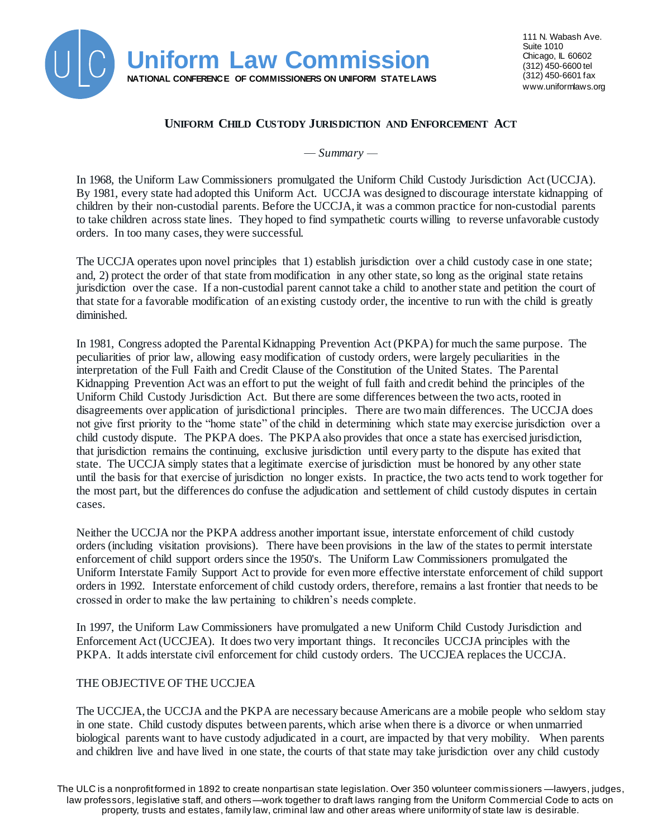

# **UNIFORM CHILD CUSTODY JURISDICTION AND ENFORCEMENT ACT**

*— Summary —*

In 1968, the Uniform Law Commissioners promulgated the Uniform Child Custody Jurisdiction Act (UCCJA). By 1981, every state had adopted this Uniform Act. UCCJA was designed to discourage interstate kidnapping of children by their non-custodial parents. Before the UCCJA, it was a common practice for non-custodial parents to take children across state lines. They hoped to find sympathetic courts willing to reverse unfavorable custody orders. In too many cases, they were successful.

The UCCJA operates upon novel principles that 1) establish jurisdiction over a child custody case in one state; and, 2) protect the order of that state from modification in any other state, so long as the original state retains jurisdiction over the case. If a non-custodial parent cannot take a child to another state and petition the court of that state for a favorable modification of an existing custody order, the incentive to run with the child is greatly diminished.

In 1981, Congress adopted the Parental Kidnapping Prevention Act (PKPA) for much the same purpose. The peculiarities of prior law, allowing easy modification of custody orders, were largely peculiarities in the interpretation of the Full Faith and Credit Clause of the Constitution of the United States. The Parental Kidnapping Prevention Act was an effort to put the weight of full faith and credit behind the principles of the Uniform Child Custody Jurisdiction Act. But there are some differences between the two acts, rooted in disagreements over application of jurisdictional principles. There are two main differences. The UCCJA does not give first priority to the "home state" of the child in determining which state may exercise jurisdiction over a child custody dispute. The PKPA does. The PKPA also provides that once a state has exercised jurisdiction, that jurisdiction remains the continuing, exclusive jurisdiction until every party to the dispute has exited that state. The UCCJA simply states that a legitimate exercise of jurisdiction must be honored by any other state until the basis for that exercise of jurisdiction no longer exists. In practice, the two acts tend to work together for the most part, but the differences do confuse the adjudication and settlement of child custody disputes in certain cases.

Neither the UCCJA nor the PKPA address another important issue, interstate enforcement of child custody orders (including visitation provisions). There have been provisions in the law of the states to permit interstate enforcement of child support orders since the 1950's. The Uniform Law Commissioners promulgated the Uniform Interstate Family Support Act to provide for even more effective interstate enforcement of child support orders in 1992. Interstate enforcement of child custody orders, therefore, remains a last frontier that needs to be crossed in order to make the law pertaining to children's needs complete.

In 1997, the Uniform Law Commissioners have promulgated a new Uniform Child Custody Jurisdiction and Enforcement Act (UCCJEA). It does two very important things. It reconciles UCCJA principles with the PKPA. It adds interstate civil enforcement for child custody orders. The UCCJEA replaces the UCCJA.

## THE OBJECTIVE OF THE UCCJEA

The UCCJEA, the UCCJA and the PKPA are necessary because Americans are a mobile people who seldom stay in one state. Child custody disputes between parents, which arise when there is a divorce or when unmarried biological parents want to have custody adjudicated in a court, are impacted by that very mobility. When parents and children live and have lived in one state, the courts of that state may take jurisdiction over any child custody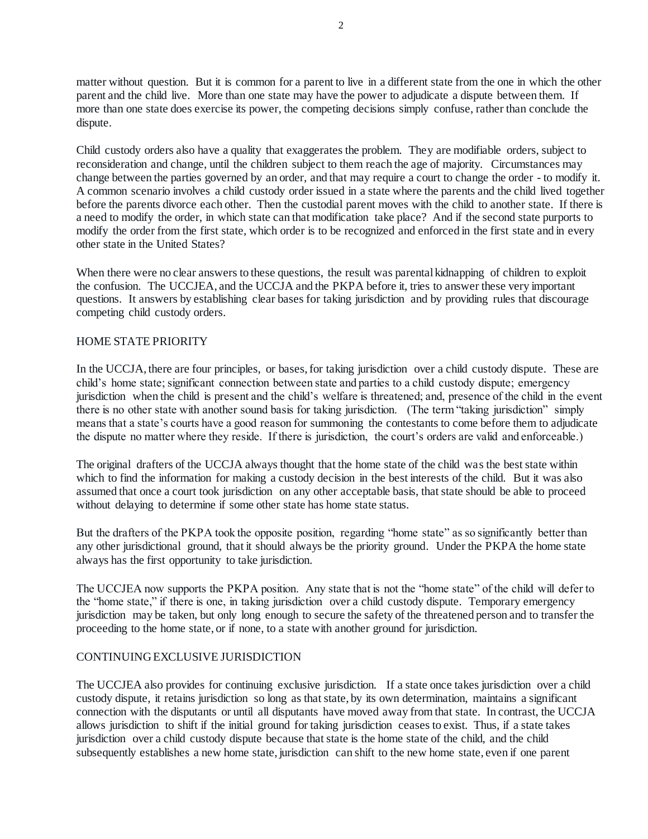matter without question. But it is common for a parent to live in a different state from the one in which the other parent and the child live. More than one state may have the power to adjudicate a dispute between them. If more than one state does exercise its power, the competing decisions simply confuse, rather than conclude the dispute.

Child custody orders also have a quality that exaggerates the problem. They are modifiable orders, subject to reconsideration and change, until the children subject to them reach the age of majority. Circumstances may change between the parties governed by an order, and that may require a court to change the order - to modify it. A common scenario involves a child custody order issued in a state where the parents and the child lived together before the parents divorce each other. Then the custodial parent moves with the child to another state. If there is a need to modify the order, in which state can that modification take place? And if the second state purports to modify the order from the first state, which order is to be recognized and enforced in the first state and in every other state in the United States?

When there were no clear answers to these questions, the result was parental kidnapping of children to exploit the confusion. The UCCJEA, and the UCCJA and the PKPA before it, tries to answer these very important questions. It answers by establishing clear bases for taking jurisdiction and by providing rules that discourage competing child custody orders.

## HOME STATE PRIORITY

In the UCCJA, there are four principles, or bases, for taking jurisdiction over a child custody dispute. These are child's home state; significant connection between state and parties to a child custody dispute; emergency jurisdiction when the child is present and the child's welfare is threatened; and, presence of the child in the event there is no other state with another sound basis for taking jurisdiction. (The term "taking jurisdiction" simply means that a state's courts have a good reason for summoning the contestants to come before them to adjudicate the dispute no matter where they reside. If there is jurisdiction, the court's orders are valid and enforceable.)

The original drafters of the UCCJA always thought that the home state of the child was the best state within which to find the information for making a custody decision in the best interests of the child. But it was also assumed that once a court took jurisdiction on any other acceptable basis, that state should be able to proceed without delaying to determine if some other state has home state status.

But the drafters of the PKPA took the opposite position, regarding "home state" as so significantly better than any other jurisdictional ground, that it should always be the priority ground. Under the PKPA the home state always has the first opportunity to take jurisdiction.

The UCCJEA now supports the PKPA position. Any state that is not the "home state" of the child will defer to the "home state," if there is one, in taking jurisdiction over a child custody dispute. Temporary emergency jurisdiction may be taken, but only long enough to secure the safety of the threatened person and to transfer the proceeding to the home state, or if none, to a state with another ground for jurisdiction.

## CONTINUING EXCLUSIVE JURISDICTION

The UCCJEA also provides for continuing exclusive jurisdiction. If a state once takes jurisdiction over a child custody dispute, it retains jurisdiction so long as that state, by its own determination, maintains a significant connection with the disputants or until all disputants have moved away from that state. In contrast, the UCCJA allows jurisdiction to shift if the initial ground for taking jurisdiction ceases to exist. Thus, if a state takes jurisdiction over a child custody dispute because that state is the home state of the child, and the child subsequently establishes a new home state, jurisdiction can shift to the new home state, even if one parent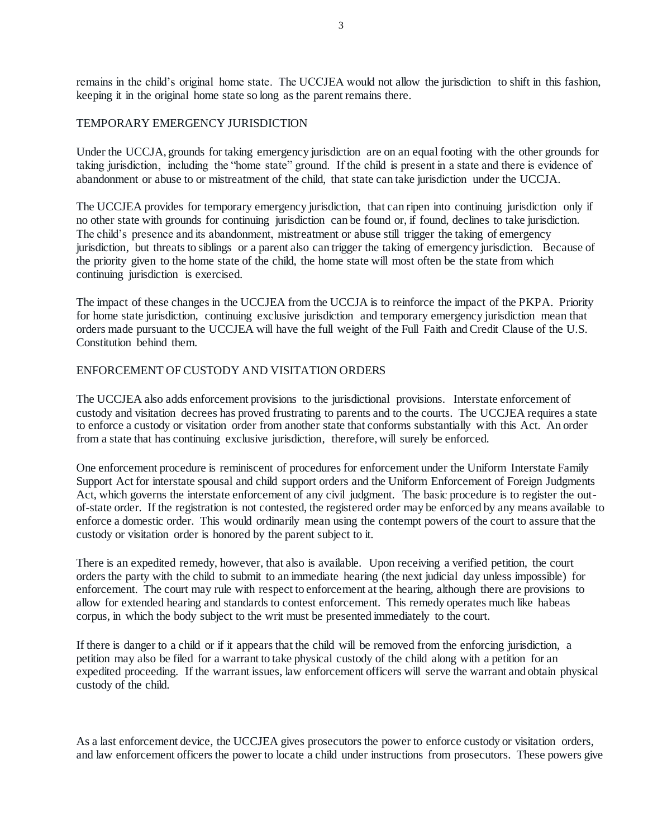remains in the child's original home state. The UCCJEA would not allow the jurisdiction to shift in this fashion, keeping it in the original home state so long as the parent remains there.

### TEMPORARY EMERGENCY JURISDICTION

Under the UCCJA, grounds for taking emergency jurisdiction are on an equal footing with the other grounds for taking jurisdiction, including the "home state" ground. If the child is present in a state and there is evidence of abandonment or abuse to or mistreatment of the child, that state can take jurisdiction under the UCCJA.

The UCCJEA provides for temporary emergency jurisdiction, that can ripen into continuing jurisdiction only if no other state with grounds for continuing jurisdiction can be found or, if found, declines to take jurisdiction. The child's presence and its abandonment, mistreatment or abuse still trigger the taking of emergency jurisdiction, but threats to siblings or a parent also can trigger the taking of emergency jurisdiction. Because of the priority given to the home state of the child, the home state will most often be the state from which continuing jurisdiction is exercised.

The impact of these changes in the UCCJEA from the UCCJA is to reinforce the impact of the PKPA. Priority for home state jurisdiction, continuing exclusive jurisdiction and temporary emergency jurisdiction mean that orders made pursuant to the UCCJEA will have the full weight of the Full Faith and Credit Clause of the U.S. Constitution behind them.

## ENFORCEMENT OF CUSTODY AND VISITATION ORDERS

The UCCJEA also adds enforcement provisions to the jurisdictional provisions. Interstate enforcement of custody and visitation decrees has proved frustrating to parents and to the courts. The UCCJEA requires a state to enforce a custody or visitation order from another state that conforms substantially with this Act. An order from a state that has continuing exclusive jurisdiction, therefore, will surely be enforced.

One enforcement procedure is reminiscent of procedures for enforcement under the Uniform Interstate Family Support Act for interstate spousal and child support orders and the Uniform Enforcement of Foreign Judgments Act, which governs the interstate enforcement of any civil judgment. The basic procedure is to register the outof-state order. If the registration is not contested, the registered order may be enforced by any means available to enforce a domestic order. This would ordinarily mean using the contempt powers of the court to assure that the custody or visitation order is honored by the parent subject to it.

There is an expedited remedy, however, that also is available. Upon receiving a verified petition, the court orders the party with the child to submit to an immediate hearing (the next judicial day unless impossible) for enforcement. The court may rule with respect to enforcement at the hearing, although there are provisions to allow for extended hearing and standards to contest enforcement. This remedy operates much like habeas corpus, in which the body subject to the writ must be presented immediately to the court.

If there is danger to a child or if it appears that the child will be removed from the enforcing jurisdiction, a petition may also be filed for a warrant to take physical custody of the child along with a petition for an expedited proceeding. If the warrant issues, law enforcement officers will serve the warrant and obtain physical custody of the child.

As a last enforcement device, the UCCJEA gives prosecutors the power to enforce custody or visitation orders, and law enforcement officers the power to locate a child under instructions from prosecutors. These powers give